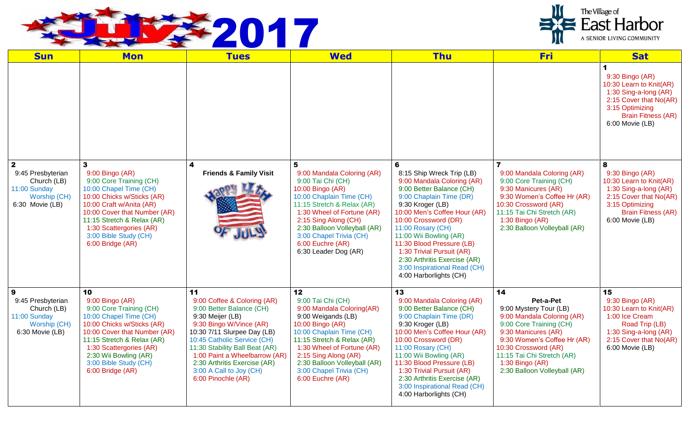

| <b>Sun</b>                                                                                            | <b>Mon</b>                                                                                                                                                                                                                                                                | <b>Tues</b>                                                                                                                                                                                                                                                                                                                    | <b>Wed</b>                                                                                                                                                                                                                                                                                    | <b>Thu</b>                                                                                                                                                                                                                                                                                                                                                                                         | <b>Fri</b>                                                                                                                                                                                                                                                          | <b>Sat</b>                                                                                                                                                            |
|-------------------------------------------------------------------------------------------------------|---------------------------------------------------------------------------------------------------------------------------------------------------------------------------------------------------------------------------------------------------------------------------|--------------------------------------------------------------------------------------------------------------------------------------------------------------------------------------------------------------------------------------------------------------------------------------------------------------------------------|-----------------------------------------------------------------------------------------------------------------------------------------------------------------------------------------------------------------------------------------------------------------------------------------------|----------------------------------------------------------------------------------------------------------------------------------------------------------------------------------------------------------------------------------------------------------------------------------------------------------------------------------------------------------------------------------------------------|---------------------------------------------------------------------------------------------------------------------------------------------------------------------------------------------------------------------------------------------------------------------|-----------------------------------------------------------------------------------------------------------------------------------------------------------------------|
|                                                                                                       |                                                                                                                                                                                                                                                                           |                                                                                                                                                                                                                                                                                                                                |                                                                                                                                                                                                                                                                                               |                                                                                                                                                                                                                                                                                                                                                                                                    |                                                                                                                                                                                                                                                                     | 1<br>9:30 Bingo (AR)<br>10:30 Learn to Knit(AR)<br>1:30 Sing-a-long (AR)<br>2:15 Cover that No(AR)<br>3:15 Optimizing<br><b>Brain Fitness (AR)</b><br>6:00 Movie (LB) |
| $\overline{2}$<br>9:45 Presbyterian<br>Church (LB)<br>11:00 Sunday<br>Worship (CH)<br>6:30 Movie (LB) | 3<br>9:00 Bingo (AR)<br>9:00 Core Training (CH)<br>10:00 Chapel Time (CH)<br>10:00 Chicks w/Sticks (AR)<br>10:00 Craft w/Anita (AR)<br>10:00 Cover that Number (AR)<br>11:15 Stretch & Relax (AR)<br>1:30 Scattergories (AR)<br>3:00 Bible Study (CH)<br>6:00 Bridge (AR) | 4<br><b>Friends &amp; Family Visit</b>                                                                                                                                                                                                                                                                                         | 9:00 Mandala Coloring (AR)<br>9:00 Tai Chi (CH)<br>10:00 Bingo (AR)<br>10:00 Chaplain Time (CH)<br>11:15 Stretch & Relax (AR)<br>1:30 Wheel of Fortune (AR)<br>2:15 Sing Along (CH)<br>2:30 Balloon Volleyball (AR)<br>3:00 Chapel Trivia (CH)<br>6:00 Euchre (AR)<br>6:30 Leader Dog (AR)    | 6<br>8:15 Ship Wreck Trip (LB)<br>9:00 Mandala Coloring (AR)<br>9:00 Better Balance (CH)<br>9:00 Chaplain Time (DR)<br>9:30 Kroger (LB)<br>10:00 Men's Coffee Hour (AR)<br>10:00 Crossword (DR)<br>11:00 Rosary (CH)<br>11:00 Wii Bowling (AR)<br>11:30 Blood Pressure (LB)<br>1:30 Trivial Pursuit (AR)<br>2:30 Arthritis Exercise (AR)<br>3:00 Inspirational Read (CH)<br>4:00 Harborlights (CH) | 9:00 Mandala Coloring (AR)<br>9:00 Core Training (CH)<br>9:30 Manicures (AR)<br>9:30 Women's Coffee Hr (AR)<br>10:30 Crossword (AR)<br>11:15 Tai Chi Stretch (AR)<br>$1:30$ Bingo $(AR)$<br>2:30 Balloon Volleyball (AR)                                            | 8<br>9:30 Bingo (AR)<br>10:30 Learn to Knit(AR)<br>1:30 Sing-a-long (AR)<br>2:15 Cover that No(AR)<br>3:15 Optimizing<br><b>Brain Fitness (AR)</b><br>6:00 Movie (LB) |
| 9<br>9:45 Presbyterian<br>Church (LB)<br>11:00 Sunday<br>Worship (CH)<br>$6:30$ Movie (LB)            | 10<br>$9:00$ Bingo (AR)<br>9:00 Core Training (CH)<br>10:00 Chapel Time (CH)<br>10:00 Chicks w/Sticks (AR)<br>10:00 Cover that Number (AR)<br>11:15 Stretch & Relax (AR)<br>1:30 Scattergories (AR)<br>2:30 Wii Bowling (AR)<br>3:00 Bible Study (CH)<br>6:00 Bridge (AR) | 11<br>9:00 Coffee & Coloring (AR)<br>9:00 Better Balance (CH)<br>9:30 Meijer (LB)<br>9:30 Bingo W/Vince (AR)<br>10:30 7/11 Slurpee Day (LB)<br>10:45 Catholic Service (CH)<br>11:30 Stability Ball Beat (AR)<br>1:00 Paint a Wheelbarrow (AR)<br>2:30 Arthritis Exercise (AR)<br>3:00 A Call to Joy (CH)<br>6:00 Pinochle (AR) | 12<br>9:00 Tai Chi (CH)<br>9:00 Mandala Coloring(AR)<br>9:00 Weigands (LB)<br>10:00 Bingo (AR)<br>10:00 Chaplain Time (CH)<br>11:15 Stretch & Relax (AR)<br>1:30 Wheel of Fortune (AR)<br>2:15 Sing Along (AR)<br>2:30 Balloon Volleyball (AR)<br>3:00 Chapel Trivia (CH)<br>6:00 Euchre (AR) | 13<br>9:00 Mandala Coloring (AR)<br>9:00 Better Balance (CH)<br>9:00 Chaplain Time (DR)<br>9:30 Kroger (LB)<br>10:00 Men's Coffee Hour (AR)<br>10:00 Crossword (DR)<br>11:00 Rosary (CH)<br>11:00 Wii Bowling (AR)<br>11:30 Blood Pressure (LB)<br>1:30 Trivial Pursuit (AR)<br>2:30 Arthritis Exercise (AR)<br>3:00 Inspirational Read (CH)<br>4:00 Harborlights (CH)                             | 14<br>Pet-a-Pet<br>9:00 Mystery Tour (LB)<br>9:00 Mandala Coloring (AR)<br>9:00 Core Training (CH)<br>9:30 Manicures (AR)<br>9:30 Women's Coffee Hr (AR)<br>10:30 Crossword (AR)<br>11:15 Tai Chi Stretch (AR)<br>$1:30$ Bingo (AR)<br>2:30 Balloon Volleyball (AR) | 15<br>9:30 Bingo (AR)<br>10:30 Learn to Knit(AR)<br>1:00 Ice Cream<br>Road Trip (LB)<br>1:30 Sing-a-long (AR)<br>2:15 Cover that No(AR)<br>6:00 Movie (LB)            |



The Village of<br>East Harbor

A SENIOR LIVING COMMUNITY